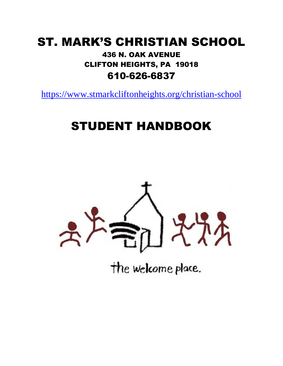# ST. MARK'S CHRISTIAN SCHOOL 436 N. OAK AVENUE CLIFTON HEIGHTS, PA 19018 610-626-6837

https://www.stmarkcliftonheights.org/christian-school

# STUDENT HANDBOOK



the welcome place.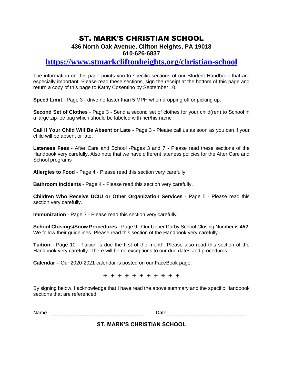# ST. MARK'S CHRISTIAN SCHOOL

#### **436 North Oak Avenue, Clifton Heights, PA 19018 610-626-6837**

# **https://www.stmarkcliftonheights.org/christian-school**

The information on this page points you to specific sections of our Student Handbook that are especially important. Please read these sections, sign the receipt at the bottom of this page and return a copy of this page to Kathy Cosentino by September 10.

**Speed Limit** - Page 3 - drive no faster than 5 MPH when dropping off or picking up.

**Second Set of Clothes** - Page 3 - Send a second set of clothes for your child(ren) to School in a large zip-loc bag which should be labeled with her/his name

**Call If Your Child Will Be Absent or Late** - Page 3 - Please call us as soon as you can if your child will be absent or late.

**Lateness Fees** - After Care and School -Pages 3 and 7 - Please read these sections of the Handbook very carefully. Also note that we have different lateness policies for the After Care and School programs

**Allergies to Food** - Page 4 - Please read this section very carefully.

**Bathroom Incidents** - Page 4 - Please read this section very carefully.

**Children Who Receive DCIU or Other Organization Services** - Page 5 - Please read this section very carefully.

**Immunization** - Page 7 - Please read this section very carefully.

**School Closings/Snow Procedures** - Page 9 - Our Upper Darby School Closing Number is **452**. We follow their quidelines. Please read this section of the Handbook very carefully.

**Tuition** - Page 10 - Tuition is due the first of the month. Please also read this section of the Handbook very carefully. There will be no exceptions to our due dates and procedures.

**Calendar** – Our 2020-2021 calendar is posted on our FaceBook page.

✙ ✙ ✙ ✙ ✙ ✙ ✙ ✙ ✙ ✙ ✙

By signing below, I acknowledge that I have read the above summary and the specific Handbook sections that are referenced.

Name the contract of the contract of the contract of the contract of the contract of the contract of the contract of the contract of the contract of the contract of the contract of the contract of the contract of the contr

**ST. MARK'S CHRISTIAN SCHOOL**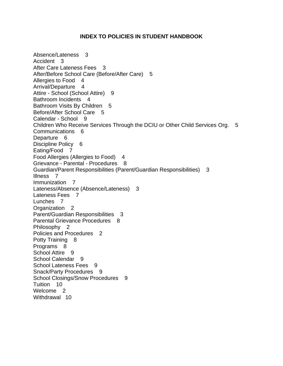#### **INDEX TO POLICIES IN STUDENT HANDBOOK**

Absence/Lateness 3 Accident 3 After Care Lateness Fees 3 After/Before School Care (Before/After Care) 5 Allergies to Food 4 Arrival/Departure 4 Attire - School (School Attire) 9 Bathroom Incidents 4 Bathroom Visits By Children 5 Before/After School Care 5 Calendar - School 9 Children Who Receive Services Through the DCIU or Other Child Services Org. 5 Communications 6 Departure 6 Discipline Policy 6 Eating/Food 7 Food Allergies (Allergies to Food) 4 Grievance - Parental - Procedures 8 Guardian/Parent Responsibilities (Parent/Guardian Responsibilities) 3 Illness 7 Immunization 7 Lateness/Absence (Absence/Lateness) 3 Lateness Fees 7 Lunches 7 Organization 2 Parent/Guardian Responsibilities 3 Parental Grievance Procedures 8 Philosophy 2 Policies and Procedures 2 Potty Training 8 Programs 8 School Attire 9 School Calendar 9 School Lateness Fees 9 Snack/Party Procedures 9 School Closings/Snow Procedures 9 Tuition 10 Welcome<sub>2</sub> Withdrawal 10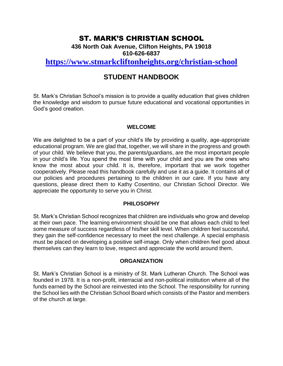# ST. MARK'S CHRISTIAN SCHOOL

**436 North Oak Avenue, Clifton Heights, PA 19018 610-626-6837**

### **https://www.stmarkcliftonheights.org/christian-school**

# **STUDENT HANDBOOK**

St. Mark's Christian School's mission is to provide a quality education that gives children the knowledge and wisdom to pursue future educational and vocational opportunities in God's good creation.

#### **WELCOME**

We are delighted to be a part of your child's life by providing a quality, age-appropriate educational program. We are glad that, together, we will share in the progress and growth of your child. We believe that you, the parents/guardians, are the most important people in your child's life. You spend the most time with your child and you are the ones who know the most about your child. It is, therefore, important that we work together cooperatively. Please read this handbook carefully and use it as a guide. It contains all of our policies and procedures pertaining to the children in our care. If you have any questions, please direct them to Kathy Cosentino, our Christian School Director. We appreciate the opportunity to serve you in Christ.

#### **PHILOSOPHY**

St. Mark's Christian School recognizes that children are individuals who grow and develop at their own pace. The learning environment should be one that allows each child to feel some measure of success regardless of his/her skill level. When children feel successful, they gain the self-confidence necessary to meet the next challenge. A special emphasis must be placed on developing a positive self-image. Only when children feel good about themselves can they learn to love, respect and appreciate the world around them.

#### **ORGANIZATION**

St. Mark's Christian School is a ministry of St. Mark Lutheran Church. The School was founded in 1978. It is a non-profit, interracial and non-political institution where all of the funds earned by the School are reinvested into the School. The responsibility for running the School lies with the Christian School Board which consists of the Pastor and members of the church at large.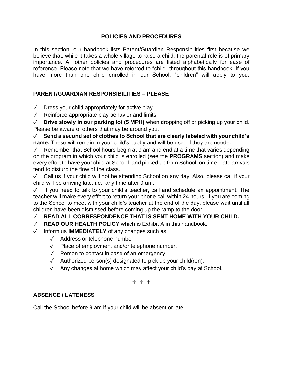#### **POLICIES AND PROCEDURES**

In this section, our handbook lists Parent/Guardian Responsibilities first because we believe that, while it takes a whole village to raise a child, the parental role is of primary importance. All other policies and procedures are listed alphabetically for ease of reference. Please note that we have referred to "child" throughout this handbook. If you have more than one child enrolled in our School, "children" will apply to you.

#### **PARENT/GUARDIAN RESPONSIBILITIES – PLEASE**

 $\sqrt{ }$  Dress your child appropriately for active play.

✓ Reinforce appropriate play behavior and limits.

✓ **Drive slowly in our parking lot (5 MPH)** when dropping off or picking up your child. Please be aware of others that may be around you.

✓ **Send a second set of clothes to School that are clearly labeled with your child's name.** These will remain in your child's cubby and will be used if they are needed.

✓ Remember that School hours begin at 9 am and end at a time that varies depending on the program in which your child is enrolled (see the **PROGRAMS** section) and make every effort to have your child at School, and picked up from School, on time - late arrivals tend to disturb the flow of the class.

✓ Call us if your child will not be attending School on any day. Also, please call if your child will be arriving late, i.e., any time after 9 am.

✓ If you need to talk to your child's teacher, call and schedule an appointment. The teacher will make every effort to return your phone call within 24 hours. If you are coming to the School to meet with your child's teacher at the end of the day, please wait until all children have been dismissed before coming up the ramp to the door.

#### ✓ **READ ALL CORRESPONDENCE THAT IS SENT HOME WITH YOUR CHILD.**

- ✓ **READ OUR HEALTH POLICY** which is Exhibit A in this handbook.
- ✓ Inform us **IMMEDIATELY** of any changes such as:
	- ✓ Address or telephone number.
	- ✓ Place of employment and/or telephone number.
	- ✓ Person to contact in case of an emergency.
	- ✓ Authorized person(s) designated to pick up your child(ren).
	- ✓ Any changes at home which may affect your child's day at School.

#### ✟ ✟ ✟

#### **ABSENCE / LATENESS**

Call the School before 9 am if your child will be absent or late.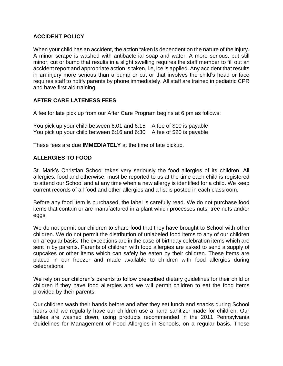#### **ACCIDENT POLICY**

When your child has an accident, the action taken is dependent on the nature of the injury. A minor scrape is washed with antibacterial soap and water. A more serious, but still minor, cut or bump that results in a slight swelling requires the staff member to fill out an accident report and appropriate action is taken, i.e, ice is applied. Any accident that results in an injury more serious than a bump or cut or that involves the child's head or face requires staff to notify parents by phone immediately. All staff are trained in pediatric CPR and have first aid training.

#### **AFTER CARE LATENESS FEES**

A fee for late pick up from our After Care Program begins at 6 pm as follows:

You pick up your child between 6:01 and 6:15 A fee of \$10 is payable You pick up your child between 6:16 and 6:30 A fee of \$20 is payable

These fees are due **IMMEDIATELY** at the time of late pickup.

#### **ALLERGIES TO FOOD**

St. Mark's Christian School takes very seriously the food allergies of its children. All allergies, food and otherwise, must be reported to us at the time each child is registered to attend our School and at any time when a new allergy is identified for a child. We keep current records of all food and other allergies and a list is posted in each classroom.

Before any food item is purchased, the label is carefully read. We do not purchase food items that contain or are manufactured in a plant which processes nuts, tree nuts and/or eggs.

We do not permit our children to share food that they have brought to School with other children. We do not permit the distribution of unlabeled food items to any of our children on a regular basis. The exceptions are in the case of birthday celebration items which are sent in by parents. Parents of children with food allergies are asked to send a supply of cupcakes or other items which can safely be eaten by their children. These items are placed in our freezer and made available to children with food allergies during celebrations.

We rely on our children's parents to follow prescribed dietary guidelines for their child or children if they have food allergies and we will permit children to eat the food items provided by their parents.

Our children wash their hands before and after they eat lunch and snacks during School hours and we regularly have our children use a hand sanitizer made for children. Our tables are washed down, using products recommended in the 2011 Pennsylvania Guidelines for Management of Food Allergies in Schools, on a regular basis. These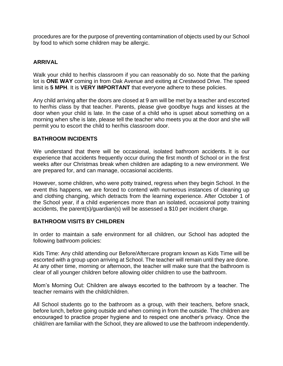procedures are for the purpose of preventing contamination of objects used by our School by food to which some children may be allergic.

#### **ARRIVAL**

Walk your child to her/his classroom if you can reasonably do so. Note that the parking lot is **ONE WAY** coming in from Oak Avenue and exiting at Crestwood Drive. The speed limit is **5 MPH**. It is **VERY IMPORTANT** that everyone adhere to these policies.

Any child arriving after the doors are closed at 9 am will be met by a teacher and escorted to her/his class by that teacher. Parents, please give goodbye hugs and kisses at the door when your child is late. In the case of a child who is upset about something on a morning when s/he is late, please tell the teacher who meets you at the door and she will permit you to escort the child to her/his classroom door.

#### **BATHROOM INCIDENTS**

We understand that there will be occasional, isolated bathroom accidents. It is our experience that accidents frequently occur during the first month of School or in the first weeks after our Christmas break when children are adapting to a new environment. We are prepared for, and can manage, occasional accidents.

However, some children, who were potty trained, regress when they begin School. In the event this happens, we are forced to contend with numerous instances of cleaning up and clothing changing, which detracts from the learning experience. After October 1 of the School year, if a child experiences more than an isolated, occasional potty training accidents, the parent(s)/guardian(s) will be assessed a \$10 per incident charge.

#### **BATHROOM VISITS BY CHILDREN**

In order to maintain a safe environment for all children, our School has adopted the following bathroom policies:

Kids Time: Any child attending our Before/Aftercare program known as Kids Time will be escorted with a group upon arriving at School. The teacher will remain until they are done. At any other time, morning or afternoon, the teacher will make sure that the bathroom is clear of all younger children before allowing older children to use the bathroom.

Mom's Morning Out: Children are always escorted to the bathroom by a teacher. The teacher remains with the child/children.

All School students go to the bathroom as a group, with their teachers, before snack, before lunch, before going outside and when coming in from the outside. The children are encouraged to practice proper hygiene and to respect one another's privacy. Once the child/ren are familiar with the School, they are allowed to use the bathroom independently.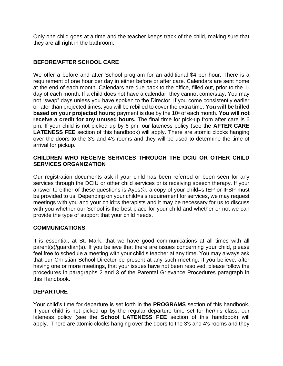Only one child goes at a time and the teacher keeps track of the child, making sure that they are all right in the bathroom.

#### **BEFORE/AFTER SCHOOL CARE**

We offer a before and after School program for an additional \$4 per hour. There is a requirement of one hour per day in either before or after care. Calendars are sent home at the end of each month. Calendars are due back to the office, filled out, prior to the  $1<sup>st</sup>$ day of each month. If a child does not have a calendar, they cannot come/stay. You may not "swap" days unless you have spoken to the Director. If you come consistently earlier or later than projected times, you will be rebilled to cover the extra time. **You will be billed based on your projected hours;** payment is due by the 10<sup>th</sup> of each month. **You will not receive a credit for any unused hours.** The final time for pick-up from after care is 6 pm. If your child is not picked up by 6 pm, our lateness policy (see the **AFTER CARE LATENESS FEE** section of this handbook) will apply. There are atomic clocks hanging over the doors to the 3's and 4's rooms and they will be used to determine the time of arrival for pickup.

#### **CHILDREN WHO RECEIVE SERVICES THROUGH THE DCIU OR OTHER CHILD SERVICES ORGANIZATION**

Our registration documents ask if your child has been referred or been seen for any services through the DCIU or other child services or is receiving speech therapy. If your answer to either of these questions is Ayes@, a copy of your child=s IEP or IFSP must be provided to us. Depending on your child=s s requirement for services, we may request meetings with you and your child=s therapists and it may be necessary for us to discuss with you whether our School is the best place for your child and whether or not we can provide the type of support that your child needs.

#### **COMMUNICATIONS**

It is essential, at St. Mark, that we have good communications at all times with all parent(s)/guardian(s). If you believe that there are issues concerning your child, please feel free to schedule a meeting with your child's teacher at any time. You may always ask that our Christian School Director be present at any such meeting. If you believe, after having one or more meetings, that your issues have not been resolved, please follow the procedures in paragraphs 2 and 3 of the Parental Grievance Procedures paragraph in this Handbook.

#### **DEPARTURE**

Your child's time for departure is set forth in the **PROGRAMS** section of this handbook. If your child is not picked up by the regular departure time set for her/his class, our lateness policy (see the **School LATENESS FEE** section of this handbook) will apply. There are atomic clocks hanging over the doors to the 3's and 4's rooms and they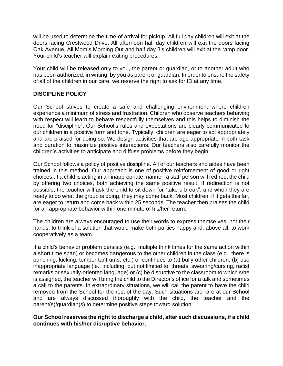will be used to determine the time of arrival for pickup. All full day children will exit at the doors facing Crestwood Drive. All afternoon half day children will exit the doors facing Oak Avenue, All Mom's Morning Out and half day 3's children will exit at the ramp door. Your child's teacher will explain exiting procedures.

Your child will be released only to you, the parent or guardian, or to another adult who has been authorized, in writing, by you as parent or guardian. In order to ensure the safety of all of the children in our care, we reserve the right to ask for ID at any time.

#### **DISCIPLINE POLICY**

Our School strives to create a safe and challenging environment where children experience a minimum of stress and frustration. Children who observe teachers behaving with respect will learn to behave respectfully themselves and this helps to diminish the need for "discipline". Our School's rules and expectations are clearly communicated to our children in a positive form and tone. Typically, children are eager to act appropriately and are praised for doing so. We design activities that are age appropriate in both task and duration to maximize positive interactions. Our teachers also carefully monitor the children's activities to anticipate and diffuse problems before they begin.

Our School follows a policy of positive discipline. All of our teachers and aides have been trained in this method. Our approach is one of positive reinforcement of good or right choices..If a child is acting in an inappropriate manner, a staff person will redirect the child by offering two choices, both achieving the same positive result. If redirection is not possible, the teacher will ask the child to sit down for "take a break", and when they are ready to do what the group is doing, they may come back. Most children, if it gets this far, are eager to return and come back within 25 seconds. The teacher then praises the child for an appropriate behavior within one minute of his/her return.

The children are always encouraged to use their words to express themselves, not their hands; to think of a solution that would make both parties happy and, above all, to work cooperatively as a team.

If a child's behavior problem persists (e.g., multiple think times for the same action within a short time span) or becomes dangerous to the other children in the class (e.g., there is punching, kicking, temper tantrums, etc.) or continues to (a) bully other children, (b) use inappropriate language (ie., including, but not limited to, threats, swearing/cursing, racist remarks or sexually-oriented language) or (c) be disruptive to the classroom to which s/he is assigned, the teacher will bring the child to the Director's office for a talk and sometimes a call to the parents. In extraordinary situations, we will call the parent to have the child removed from the School for the rest of the day. Such situations are rare at our School and are always discussed thoroughly with the child, the teacher and the parent(s)/guardian(s) to determine positive steps toward solution.

#### **Our School reserves the right to discharge a child, after such discussions, if a child continues with his/her disruptive behavior.**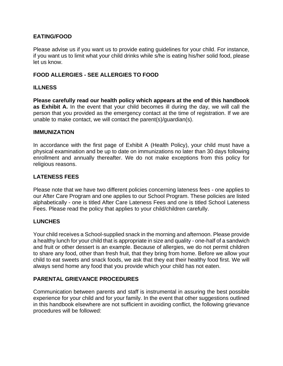#### **EATING/FOOD**

Please advise us if you want us to provide eating guidelines for your child. For instance, if you want us to limit what your child drinks while s/he is eating his/her solid food, please let us know.

#### **FOOD ALLERGIES - SEE ALLERGIES TO FOOD**

#### **ILLNESS**

**Please carefully read our health policy which appears at the end of this handbook as Exhibit A.** In the event that your child becomes ill during the day, we will call the person that you provided as the emergency contact at the time of registration. If we are unable to make contact, we will contact the parent(s)/guardian(s).

#### **IMMUNIZATION**

In accordance with the first page of Exhibit A (Health Policy), your child must have a physical examination and be up to date on immunizations no later than 30 days following enrollment and annually thereafter. We do not make exceptions from this policy for religious reasons.

#### **LATENESS FEES**

Please note that we have two different policies concerning lateness fees - one applies to our After Care Program and one applies to our School Program. These policies are listed alphabetically - one is titled After Care Lateness Fees and one is titled School Lateness Fees. Please read the policy that applies to your child/children carefully.

#### **LUNCHES**

Your child receives a School-supplied snack in the morning and afternoon. Please provide a healthy lunch for your child that is appropriate in size and quality - one-half of a sandwich and fruit or other dessert is an example. Because of allergies, we do not permit children to share any food, other than fresh fruit, that they bring from home. Before we allow your child to eat sweets and snack foods, we ask that they eat their healthy food first. We will always send home any food that you provide which your child has not eaten.

#### **PARENTAL GRIEVANCE PROCEDURES**

Communication between parents and staff is instrumental in assuring the best possible experience for your child and for your family. In the event that other suggestions outlined in this handbook elsewhere are not sufficient in avoiding conflict, the following grievance procedures will be followed: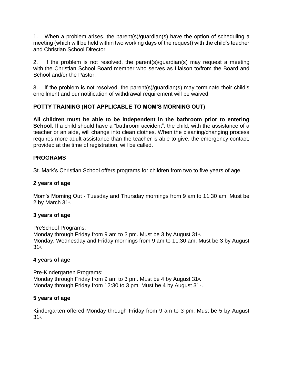1. When a problem arises, the parent(s)/guardian(s) have the option of scheduling a meeting (which will be held within two working days of the request) with the child's teacher and Christian School Director.

2. If the problem is not resolved, the parent(s)/guardian(s) may request a meeting with the Christian School Board member who serves as Liaison to/from the Board and School and/or the Pastor.

3. If the problem is not resolved, the parent(s)/guardian(s) may terminate their child's enrollment and our notification of withdrawal requirement will be waived.

#### **POTTY TRAINING (NOT APPLICABLE TO MOM'S MORNING OUT)**

**All children must be able to be independent in the bathroom prior to entering School**. If a child should have a "bathroom accident", the child, with the assistance of a teacher or an aide, will change into clean clothes. When the cleaning/changing process requires more adult assistance than the teacher is able to give, the emergency contact, provided at the time of registration, will be called.

#### **PROGRAMS**

St. Mark's Christian School offers programs for children from two to five years of age.

#### **2 years of age**

Mom's Morning Out - Tuesday and Thursday mornings from 9 am to 11:30 am. Must be 2 by March 31st.

#### **3 years of age**

PreSchool Programs: Monday through Friday from 9 am to 3 pm. Must be 3 by August  $31$ <sup>st</sup>. Monday, Wednesday and Friday mornings from 9 am to 11:30 am. Must be 3 by August 31<sub>st</sub>

#### **4 years of age**

Pre-Kindergarten Programs: Monday through Friday from 9 am to 3 pm. Must be 4 by August  $31$ <sup>st</sup>. Monday through Friday from 12:30 to 3 pm. Must be 4 by August  $31$ <sup>st</sup>.

#### **5 years of age**

Kindergarten offered Monday through Friday from 9 am to 3 pm. Must be 5 by August 31<sub>st</sub>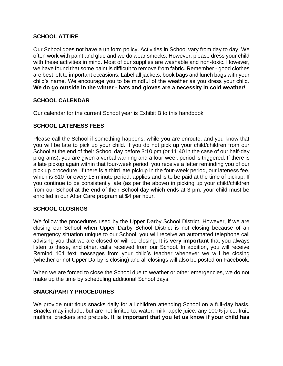#### **SCHOOL ATTIRE**

Our School does not have a uniform policy. Activities in School vary from day to day. We often work with paint and glue and we do wear smocks. However, please dress your child with these activities in mind. Most of our supplies are washable and non-toxic. However, we have found that some paint is difficult to remove from fabric. Remember - good clothes are best left to important occasions. Label all jackets, book bags and lunch bags with your child's name. We encourage you to be mindful of the weather as you dress your child. **We do go outside in the winter - hats and gloves are a necessity in cold weather!**

#### **SCHOOL CALENDAR**

Our calendar for the current School year is Exhibit B to this handbook

#### **SCHOOL LATENESS FEES**

Please call the School if something happens, while you are enroute, and you know that you will be late to pick up your child. If you do not pick up your child/children from our School at the end of their School day before 3:10 pm (or 11:40 in the case of our half-day programs), you are given a verbal warning and a four-week period is triggered. If there is a late pickup again within that four-week period, you receive a letter reminding you of our pick up procedure. If there is a third late pickup in the four-week period, our lateness fee, which is \$10 for every 15 minute period, applies and is to be paid at the time of pickup. If you continue to be consistently late (as per the above) in picking up your child/children from our School at the end of their School day which ends at 3 pm, your child must be enrolled in our After Care program at \$4 per hour.

#### **SCHOOL CLOSINGS**

We follow the procedures used by the Upper Darby School District. However, if we are closing our School when Upper Darby School District is not closing because of an emergency situation unique to our School, you will receive an automated telephone call advising you that we are closed or will be closing. It is **very important** that you always listen to these, and other, calls received from our School. In addition, you will receive Remind 101 text messages from your child's teacher whenever we will be closing (whether or not Upper Darby is closing) and all closings will also be posted on Facebook.

When we are forced to close the School due to weather or other emergencies, we do not make up the time by scheduling additional School days.

#### **SNACK/PARTY PROCEDURES**

We provide nutritious snacks daily for all children attending School on a full-day basis. Snacks may include, but are not limited to: water, milk, apple juice, any 100% juice, fruit, muffins, crackers and pretzels. **It is important that you let us know if your child has**